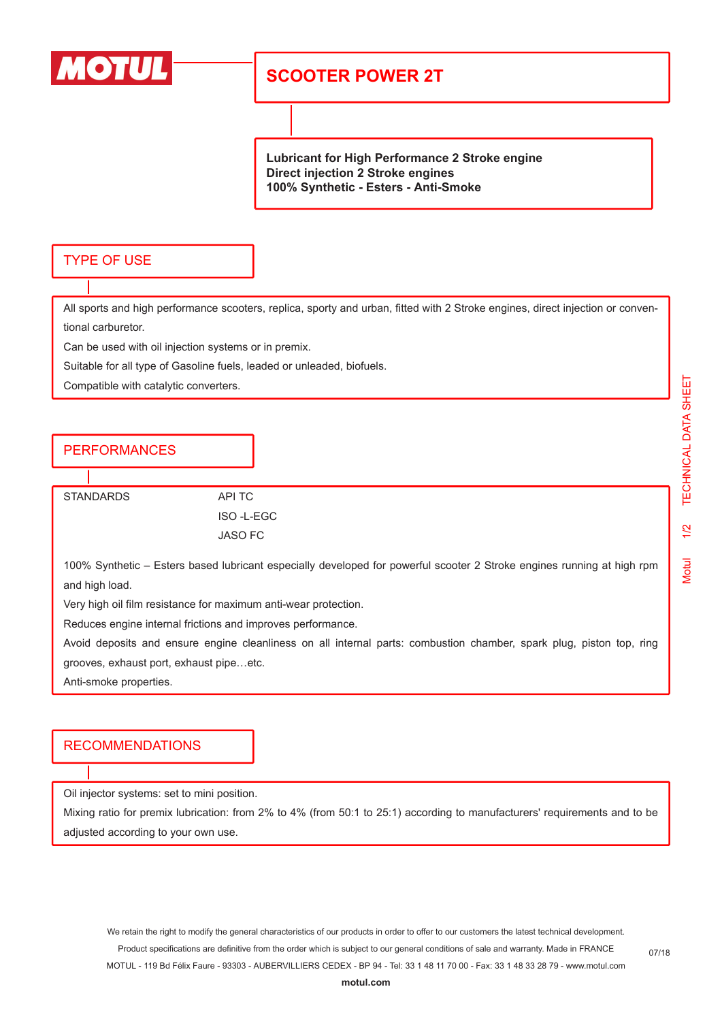

## **SCOOTER POWER 2T**

**Lubricant for High Performance 2 Stroke engine Direct injection 2 Stroke engines 100% Synthetic - Esters - Anti-Smoke**

#### TYPE OF USE

All sports and high performance scooters, replica, sporty and urban, fitted with 2 Stroke engines, direct injection or conventional carburetor.

Can be used with oil injection systems or in premix.

Suitable for all type of Gasoline fuels, leaded or unleaded, biofuels.

Compatible with catalytic converters.

### PERFORMANCES

STANDARDS API TC

ISO -L-EGC JASO FC

100% Synthetic – Esters based lubricant especially developed for powerful scooter 2 Stroke engines running at high rpm and high load.

Very high oil film resistance for maximum anti-wear protection.

Reduces engine internal frictions and improves performance.

Avoid deposits and ensure engine cleanliness on all internal parts: combustion chamber, spark plug, piston top, ring grooves, exhaust port, exhaust pipe…etc.

Anti-smoke properties.

#### RECOMMENDATIONS

Oil injector systems: set to mini position.

Mixing ratio for premix lubrication: from 2% to 4% (from 50:1 to 25:1) according to manufacturers' requirements and to be adjusted according to your own use.

We retain the right to modify the general characteristics of our products in order to offer to our customers the latest technical development. Product specifications are definitive from the order which is subject to our general conditions of sale and warranty. Made in FRANCE MOTUL - 119 Bd Félix Faure - 93303 - AUBERVILLIERS CEDEX - BP 94 - Tel: 33 1 48 11 70 00 - Fax: 33 1 48 33 28 79 - www.motul.com Motul 1/2 TECHNICAL DATA SHEET

 $1/2$ 

**Motul** 

TECHNICAL DATA SHEET